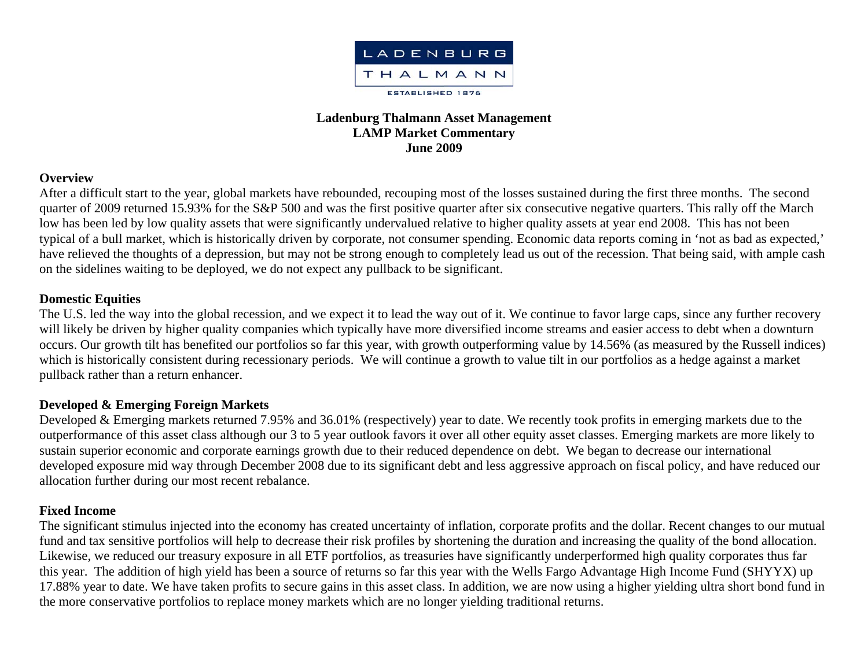

# **Ladenburg Thalmann Asset Management LAMP Market Commentary June 2009**

### **Overview**

After a difficult start to the year, global markets have rebounded, recouping most of the losses sustained during the first three months. The second quarter of 2009 returned 15.93% for the S&P 500 and was the first positive quarter after six consecutive negative quarters. This rally off the March low has been led by low quality assets that were significantly undervalued relative to higher quality assets at year end 2008. This has not been typical of a bull market, which is historically driven by corporate, not consumer spending. Economic data reports coming in 'not as bad as expected,' have relieved the thoughts of a depression, but may not be strong enough to completely lead us out of the recession. That being said, with ample cash on the sidelines waiting to be deployed, we do not expect any pullback to be significant.

### **Domestic Equities**

The U.S. led the way into the global recession, and we expect it to lead the way out of it. We continue to favor large caps, since any further recovery will likely be driven by higher quality companies which typically have more diversified income streams and easier access to debt when a downturn occurs. Our growth tilt has benefited our portfolios so far this year, with growth outperforming value by 14.56% (as measured by the Russell indices) which is historically consistent during recessionary periods. We will continue a growth to value tilt in our portfolios as a hedge against a market pullback rather than a return enhancer.

### **Developed & Emerging Foreign Markets**

Developed & Emerging markets returned 7.95% and 36.01% (respectively) year to date. We recently took profits in emerging markets due to the outperformance of this asset class although our 3 to 5 year outlook favors it over all other equity asset classes. Emerging markets are more likely to sustain superior economic and corporate earnings growth due to their reduced dependence on debt. We began to decrease our international developed exposure mid way through December 2008 due to its significant debt and less aggressive approach on fiscal policy, and have reduced our allocation further during our most recent rebalance.

### **Fixed Income**

The significant stimulus injected into the economy has created uncertainty of inflation, corporate profits and the dollar. Recent changes to our mutual fund and tax sensitive portfolios will help to decrease their risk profiles by shortening the duration and increasing the quality of the bond allocation. Likewise, we reduced our treasury exposure in all ETF portfolios, as treasuries have significantly underperformed high quality corporates thus far this year. The addition of high yield has been a source of returns so far this year with the Wells Fargo Advantage High Income Fund (SHYYX) up 17.88% year to date. We have taken profits to secure gains in this asset class. In addition, we are now using a higher yielding ultra short bond fund in the more conservative portfolios to replace money markets which are no longer yielding traditional returns.